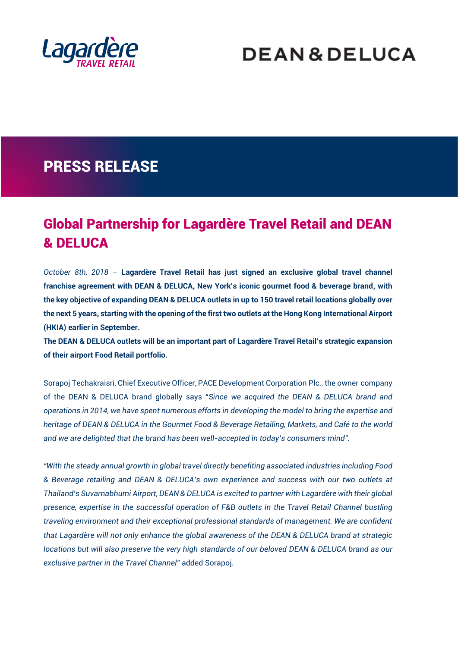

# **DEAN&DELUCA**

## PRESS RELEASE

### Global Partnership for Lagardère Travel Retail and DEAN & DELUCA

*October 8th, 2018* – **Lagardère Travel Retail has just signed an exclusive global travel channel franchise agreement with DEAN & DELUCA, New York's iconic gourmet food & beverage brand, with the key objective of expanding DEAN & DELUCA outlets in up to 150 travel retail locations globally over the next 5 years, starting with the opening of the first two outlets at the Hong Kong International Airport (HKIA) earlier in September.**

**The DEAN & DELUCA outlets will be an important part of Lagardère Travel Retail's strategic expansion of their airport Food Retail portfolio.**

Sorapoj Techakraisri, Chief Executive Officer, PACE Development Corporation Plc., the owner company of the DEAN & DELUCA brand globally says "*Since we acquired the DEAN & DELUCA brand and operations in 2014, we have spent numerous efforts in developing the model to bring the expertise and heritage of DEAN & DELUCA in the Gourmet Food & Beverage Retailing, Markets, and Café to the world and we are delighted that the brand has been well-accepted in today's consumers mind".*

*"With the steady annual growth in global travel directly benefiting associated industries including Food & Beverage retailing and DEAN & DELUCA's own experience and success with our two outlets at Thailand's Suvarnabhumi Airport, DEAN & DELUCA is excited to partner with Lagardère with their global presence, expertise in the successful operation of F&B outlets in the Travel Retail Channel bustling traveling environment and their exceptional professional standards of management. We are confident that Lagardère will not only enhance the global awareness of the DEAN & DELUCA brand at strategic locations but will also preserve the very high standards of our beloved DEAN & DELUCA brand as our exclusive partner in the Travel Channel"* added Sorapoj.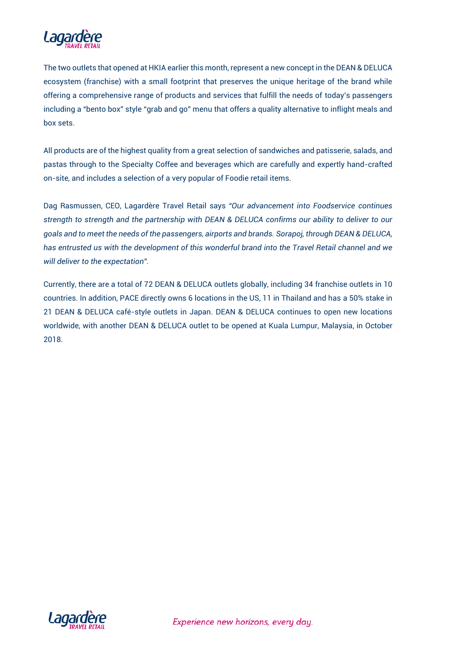

The two outlets that opened at HKIA earlier this month, represent a new concept in the DEAN & DELUCA ecosystem (franchise) with a small footprint that preserves the unique heritage of the brand while offering a comprehensive range of products and services that fulfill the needs of today's passengers including a "bento box" style "grab and go" menu that offers a quality alternative to inflight meals and box sets.

All products are of the highest quality from a great selection of sandwiches and patisserie, salads, and pastas through to the Specialty Coffee and beverages which are carefully and expertly hand-crafted on-site, and includes a selection of a very popular of Foodie retail items.

Dag Rasmussen, CEO, Lagardère Travel Retail says *"Our advancement into Foodservice continues strength to strength and the partnership with DEAN & DELUCA confirms our ability to deliver to our goals and to meet the needs of the passengers, airports and brands. Sorapoj, through DEAN & DELUCA, has entrusted us with the development of this wonderful brand into the Travel Retail channel and we will deliver to the expectation".*

Currently, there are a total of 72 DEAN & DELUCA outlets globally, including 34 franchise outlets in 10 countries. In addition, PACE directly owns 6 locations in the US, 11 in Thailand and has a 50% stake in 21 DEAN & DELUCA café-style outlets in Japan. DEAN & DELUCA continues to open new locations worldwide, with another DEAN & DELUCA outlet to be opened at Kuala Lumpur, Malaysia, in October 2018.



Experience new horizons, every day.